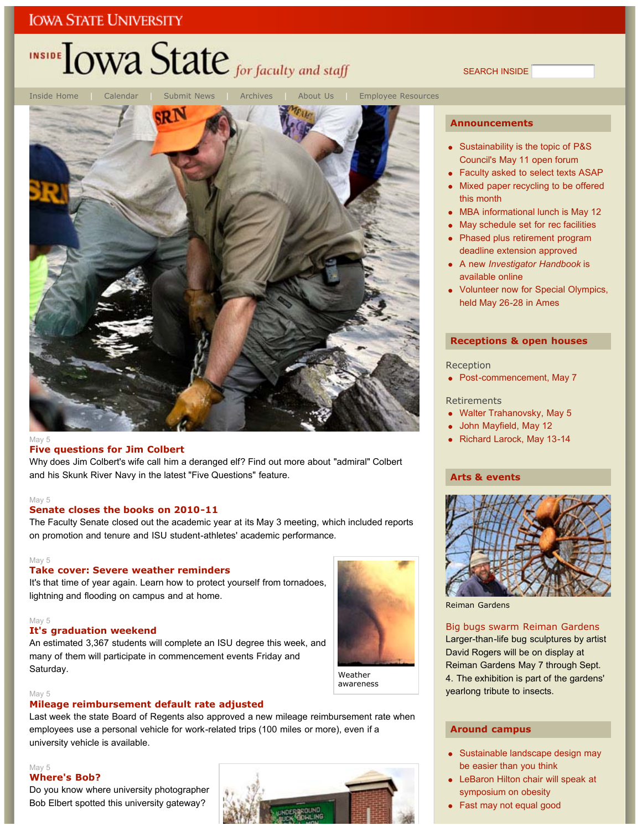# INSIDE LOWA State for faculty and staff

Inside Home | Calendar | Submit News | Archives | About Us | Employee Resources

#### May 5

#### **Five questions for Jim Colbert**

Why does Jim Colbert's wife call him a deranged elf? Find out more about "admiral" Colbert and his Skunk River Navy in the latest "Five Questions" feature.

#### May 5

#### **Senate closes the books on 2010-11**

The Faculty Senate closed out the academic year at its May 3 meeting, which included reports on promotion and tenure and ISU student-athletes' academic performance.

#### May 5

#### **Take cover: Severe weather reminders**

It's that time of year again. Learn how to protect yourself from tornadoes, lightning and flooding on campus and at home.

#### May 5

#### **It's graduation weekend**

An estimated 3,367 students will complete an ISU degree this week, and many of them will participate in commencement events Friday and Saturday.

#### May 5

#### **Mileage reimbursement default rate adjusted**

Last week the state Board of Regents also approved a new mileage reimbursement rate when employees use a personal vehicle for work-related trips (100 miles or more), even if a university vehicle is available.

#### May 5 **Where's Bob?**

Do you know where university photographer Bob Elbert spotted this university gateway?



#### **Announcements**

SEARCH INSIDE

- Sustainability is the topic of P&S Council's May 11 open forum
- Faculty asked to select texts ASAP
- Mixed paper recycling to be offered this month
- MBA informational lunch is May 12
- May schedule set for rec facilities
- Phased plus retirement program deadline extension approved
- A new *Investigator Handbook* is available online
- Volunteer now for Special Olympics, held May 26-28 in Ames

#### **Receptions & open houses**

#### Reception

• Post-commencement, May 7

#### **Retirements**

- Walter Trahanovsky, May 5
- John Mayfield, May 12
- Richard Larock, May 13-14

#### **Arts & events**



Reiman Gardens

#### Big bugs swarm Reiman Gardens

Larger-than-life bug sculptures by artist David Rogers will be on display at Reiman Gardens May 7 through Sept. 4. The exhibition is part of the gardens' yearlong tribute to insects.

#### **Around campus**

- Sustainable landscape design may be easier than you think
- LeBaron Hilton chair will speak at symposium on obesity
- Fast may not equal good

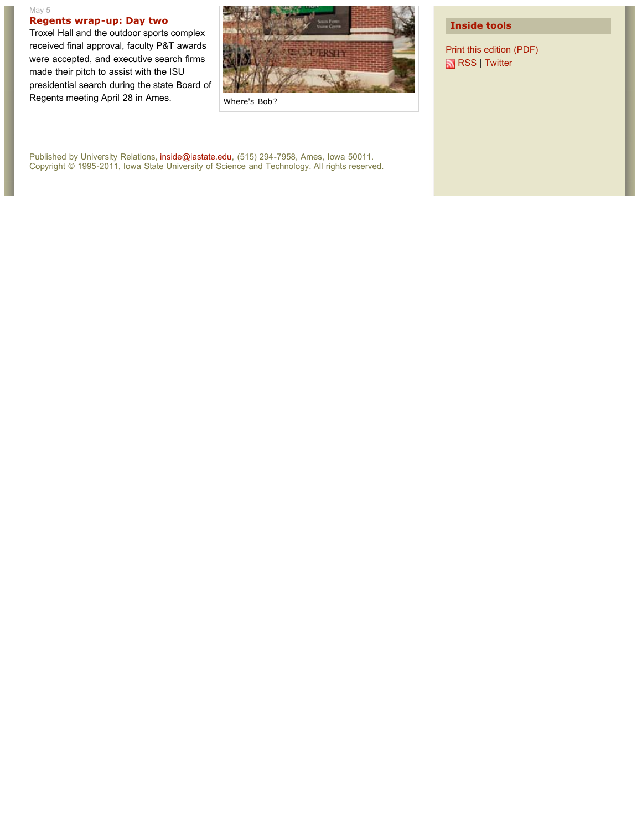#### May 5 **Regents wrap-up: Day two**

Troxel Hall and the outdoor sports complex received final approval, faculty P&T awards were accepted, and executive search firms made their pitch to assist with the ISU presidential search during the state Board of Regents meeting April 28 in Ames.



Where's Bob?

Published by University Relations, inside@iastate.edu, (515) 294-7958, Ames, Iowa 50011. Copyright © 1995-2011, Iowa State University of Science and Technology. All rights reserved.

#### **Inside tools**

Print this edition (PDF) RSS | Twitter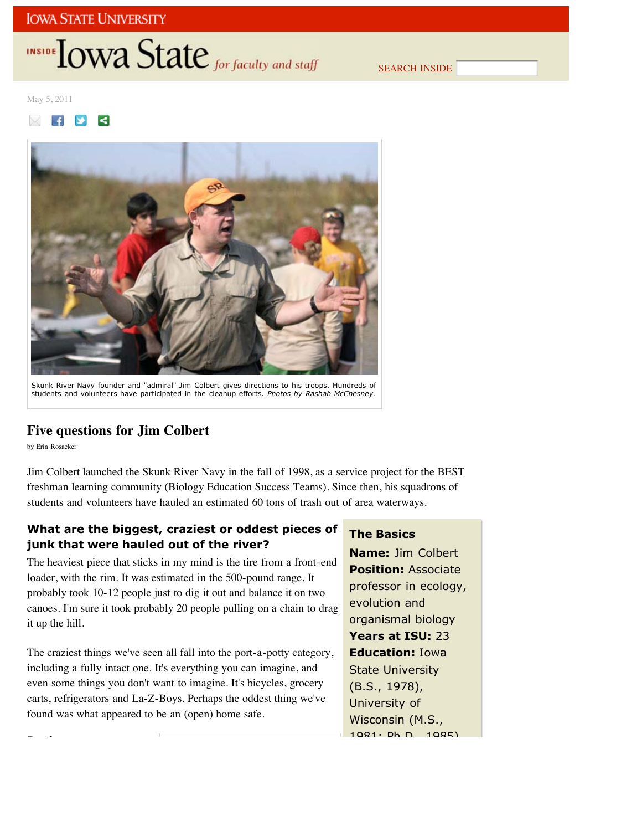## INSIDE TOWA State for faculty and staff

SEARCH INSIDE

May 5, 2011





Skunk River Navy founder and "admiral" Jim Colbert gives directions to his troops. Hundreds of students and volunteers have participated in the cleanup efforts. *Photos by Rashah McChesney*.

#### **Five questions for Jim Colbert**

by Erin Rosacker

**I th**

Jim Colbert launched the Skunk River Navy in the fall of 1998, as a service project for the BEST freshman learning community (Biology Education Success Teams). Since then, his squadrons of students and volunteers have hauled an estimated 60 tons of trash out of area waterways.

#### **What are the biggest, craziest or oddest pieces of junk that were hauled out of the river?**

The heaviest piece that sticks in my mind is the tire from a front-end loader, with the rim. It was estimated in the 500-pound range. It probably took 10-12 people just to dig it out and balance it on two canoes. I'm sure it took probably 20 people pulling on a chain to drag it up the hill.

The craziest things we've seen all fall into the port-a-potty category, including a fully intact one. It's everything you can imagine, and even some things you don't want to imagine. It's bicycles, grocery carts, refrigerators and La-Z-Boys. Perhaps the oddest thing we've found was what appeared to be an (open) home safe.

### **The Basics**

**Name:** Jim Colbert **Position:** Associate professor in ecology, evolution and organismal biology **Years at ISU:** 23 **Education:** Iowa State University (B.S., 1978), University of Wisconsin (M.S.,  $1081: Dh D 1085$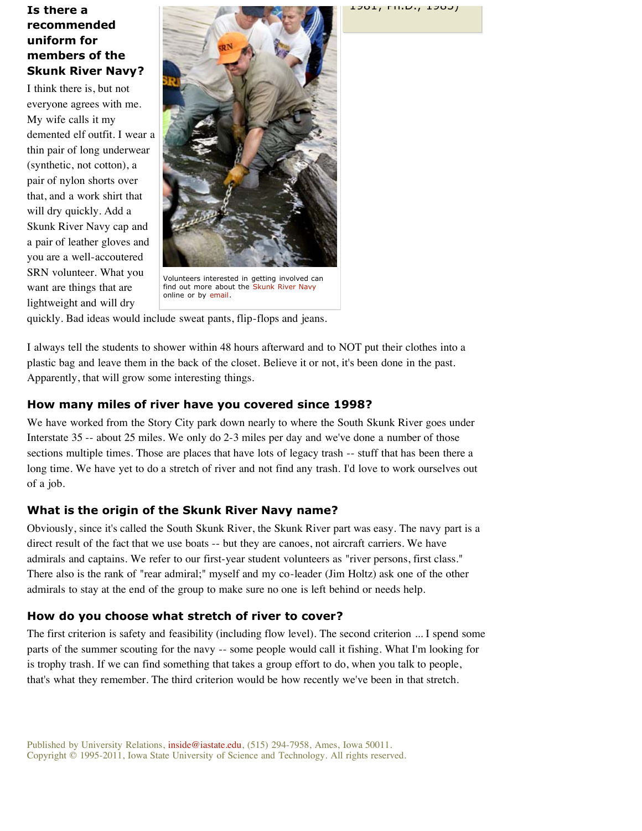#### **Is there a recommended uniform for members of the Skunk River Navy?**

I think there is, but not everyone agrees with me. My wife calls it my demented elf outfit. I wear a thin pair of long underwear (synthetic, not cotton), a pair of nylon shorts over that, and a work shirt that will dry quickly. Add a Skunk River Navy cap and a pair of leather gloves and you are a well-accoutered SRN volunteer. What you want are things that are lightweight and will dry



Volunteers interested in getting involved can find out more about the Skunk River Navy online or by email.

quickly. Bad ideas would include sweat pants, flip-flops and jeans.

I always tell the students to shower within 48 hours afterward and to NOT put their clothes into a plastic bag and leave them in the back of the closet. Believe it or not, it's been done in the past. Apparently, that will grow some interesting things.

#### **How many miles of river have you covered since 1998?**

We have worked from the Story City park down nearly to where the South Skunk River goes under Interstate 35 -- about 25 miles. We only do 2-3 miles per day and we've done a number of those sections multiple times. Those are places that have lots of legacy trash -- stuff that has been there a long time. We have yet to do a stretch of river and not find any trash. I'd love to work ourselves out of a job.

#### **What is the origin of the Skunk River Navy name?**

Obviously, since it's called the South Skunk River, the Skunk River part was easy. The navy part is a direct result of the fact that we use boats -- but they are canoes, not aircraft carriers. We have admirals and captains. We refer to our first-year student volunteers as "river persons, first class." There also is the rank of "rear admiral;" myself and my co-leader (Jim Holtz) ask one of the other admirals to stay at the end of the group to make sure no one is left behind or needs help.

#### **How do you choose what stretch of river to cover?**

The first criterion is safety and feasibility (including flow level). The second criterion ... I spend some parts of the summer scouting for the navy -- some people would call it fishing. What I'm looking for is trophy trash. If we can find something that takes a group effort to do, when you talk to people, that's what they remember. The third criterion would be how recently we've been in that stretch.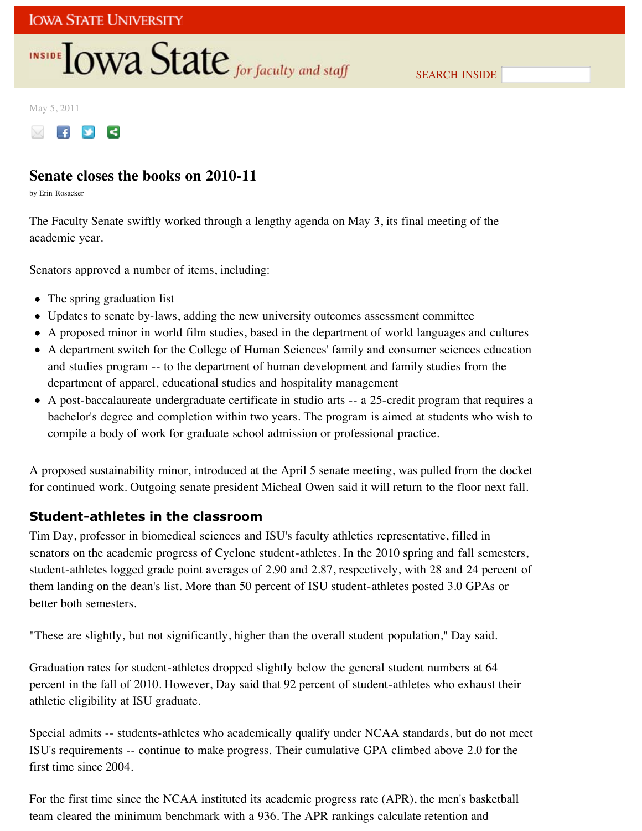## **INSIDE TOWA State** for faculty and staff

May 5, 2011



## **Senate closes the books on 2010-11**

by Erin Rosacker

The Faculty Senate swiftly worked through a lengthy agenda on May 3, its final meeting of the academic year.

Senators approved a number of items, including:

- The spring graduation list
- Updates to senate by-laws, adding the new university outcomes assessment committee
- A proposed minor in world film studies, based in the department of world languages and cultures
- A department switch for the College of Human Sciences' family and consumer sciences education and studies program -- to the department of human development and family studies from the department of apparel, educational studies and hospitality management
- A post-baccalaureate undergraduate certificate in studio arts -- a 25-credit program that requires a bachelor's degree and completion within two years. The program is aimed at students who wish to compile a body of work for graduate school admission or professional practice.

A proposed sustainability minor, introduced at the April 5 senate meeting, was pulled from the docket for continued work. Outgoing senate president Micheal Owen said it will return to the floor next fall.

### **Student-athletes in the classroom**

Tim Day, professor in biomedical sciences and ISU's faculty athletics representative, filled in senators on the academic progress of Cyclone student-athletes. In the 2010 spring and fall semesters, student-athletes logged grade point averages of 2.90 and 2.87, respectively, with 28 and 24 percent of them landing on the dean's list. More than 50 percent of ISU student-athletes posted 3.0 GPAs or better both semesters.

"These are slightly, but not significantly, higher than the overall student population," Day said.

Graduation rates for student-athletes dropped slightly below the general student numbers at 64 percent in the fall of 2010. However, Day said that 92 percent of student-athletes who exhaust their athletic eligibility at ISU graduate.

Special admits -- students-athletes who academically qualify under NCAA standards, but do not meet ISU's requirements -- continue to make progress. Their cumulative GPA climbed above 2.0 for the first time since 2004.

For the first time since the NCAA instituted its academic progress rate (APR), the men's basketball team cleared the minimum benchmark with a 936. The APR rankings calculate retention and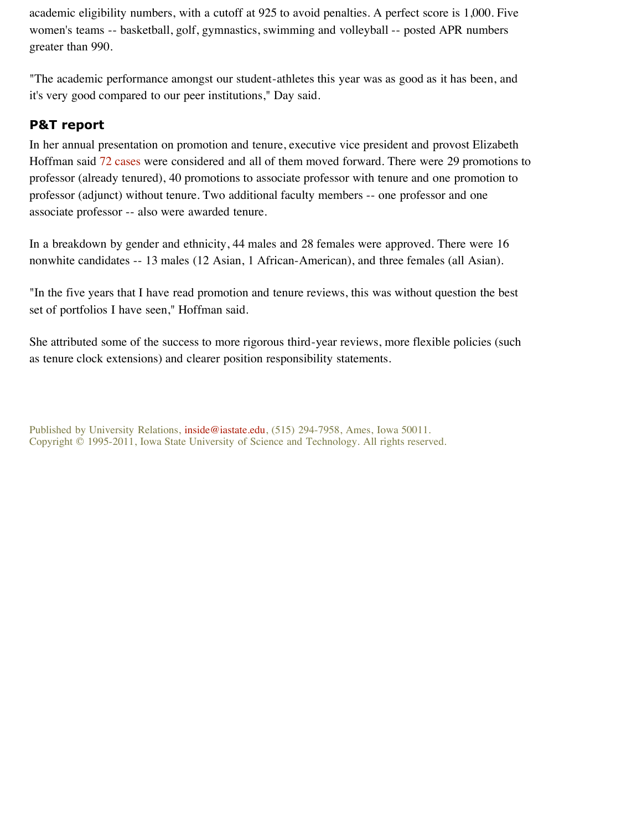academic eligibility numbers, with a cutoff at 925 to avoid penalties. A perfect score is 1,000. Five women's teams -- basketball, golf, gymnastics, swimming and volleyball -- posted APR numbers greater than 990.

"The academic performance amongst our student-athletes this year was as good as it has been, and it's very good compared to our peer institutions," Day said.

### **P&T report**

In her annual presentation on promotion and tenure, executive vice president and provost Elizabeth Hoffman said 72 cases were considered and all of them moved forward. There were 29 promotions to professor (already tenured), 40 promotions to associate professor with tenure and one promotion to professor (adjunct) without tenure. Two additional faculty members -- one professor and one associate professor -- also were awarded tenure.

In a breakdown by gender and ethnicity, 44 males and 28 females were approved. There were 16 nonwhite candidates -- 13 males (12 Asian, 1 African-American), and three females (all Asian).

"In the five years that I have read promotion and tenure reviews, this was without question the best set of portfolios I have seen," Hoffman said.

She attributed some of the success to more rigorous third-year reviews, more flexible policies (such as tenure clock extensions) and clearer position responsibility statements.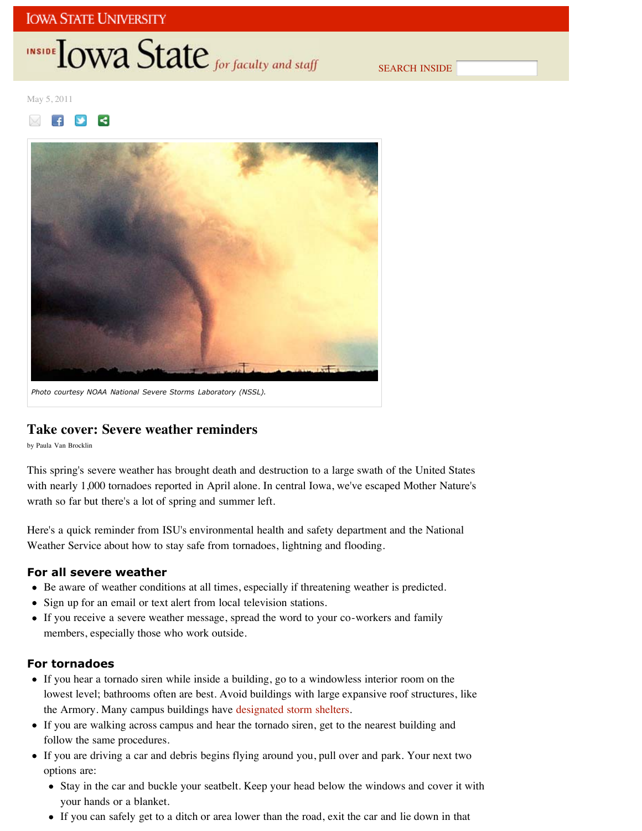## **INSIDE TOWA State** for faculty and staff

SEARCH INSIDE

May 5, 2011





*Photo courtesy NOAA National Severe Storms Laboratory (NSSL).*

#### **Take cover: Severe weather reminders**

by Paula Van Brocklin

This spring's severe weather has brought death and destruction to a large swath of the United States with nearly 1,000 tornadoes reported in April alone. In central Iowa, we've escaped Mother Nature's wrath so far but there's a lot of spring and summer left.

Here's a quick reminder from ISU's environmental health and safety department and the National Weather Service about how to stay safe from tornadoes, lightning and flooding.

#### **For all severe weather**

- Be aware of weather conditions at all times, especially if threatening weather is predicted.
- Sign up for an email or text alert from local television stations.
- If you receive a severe weather message, spread the word to your co-workers and family members, especially those who work outside.

#### **For tornadoes**

- If you hear a tornado siren while inside a building, go to a windowless interior room on the lowest level; bathrooms often are best. Avoid buildings with large expansive roof structures, like the Armory. Many campus buildings have designated storm shelters.
- If you are walking across campus and hear the tornado siren, get to the nearest building and follow the same procedures.
- If you are driving a car and debris begins flying around you, pull over and park. Your next two options are:
	- Stay in the car and buckle your seatbelt. Keep your head below the windows and cover it with your hands or a blanket.
	- If you can safely get to a ditch or area lower than the road, exit the car and lie down in that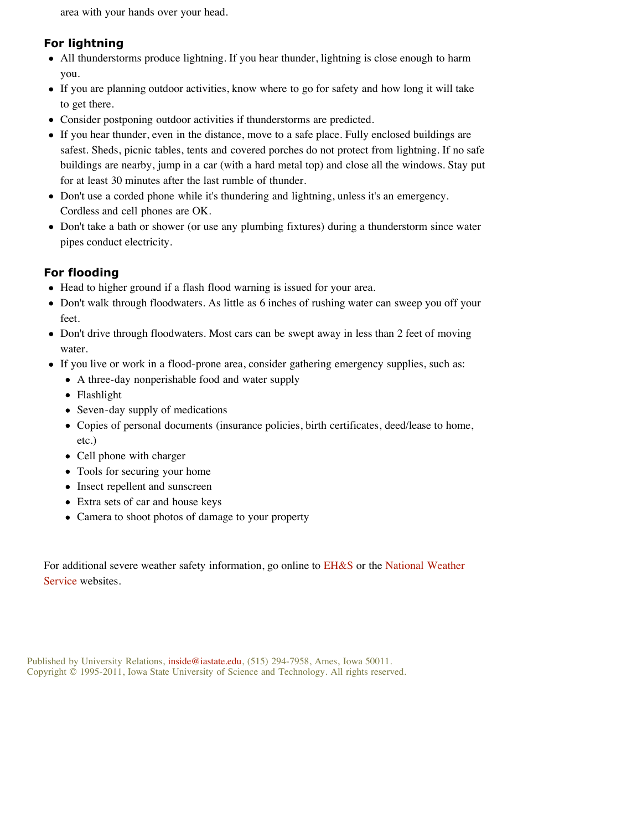area with your hands over your head.

### **For lightning**

- All thunderstorms produce lightning. If you hear thunder, lightning is close enough to harm you.
- If you are planning outdoor activities, know where to go for safety and how long it will take to get there.
- Consider postponing outdoor activities if thunderstorms are predicted.
- If you hear thunder, even in the distance, move to a safe place. Fully enclosed buildings are safest. Sheds, picnic tables, tents and covered porches do not protect from lightning. If no safe buildings are nearby, jump in a car (with a hard metal top) and close all the windows. Stay put for at least 30 minutes after the last rumble of thunder.
- Don't use a corded phone while it's thundering and lightning, unless it's an emergency. Cordless and cell phones are OK.
- Don't take a bath or shower (or use any plumbing fixtures) during a thunderstorm since water pipes conduct electricity.

### **For flooding**

- Head to higher ground if a flash flood warning is issued for your area.
- Don't walk through floodwaters. As little as 6 inches of rushing water can sweep you off your feet.
- Don't drive through floodwaters. Most cars can be swept away in less than 2 feet of moving water.
- If you live or work in a flood-prone area, consider gathering emergency supplies, such as:
	- A three-day nonperishable food and water supply
	- Flashlight
	- Seven-day supply of medications
	- Copies of personal documents (insurance policies, birth certificates, deed/lease to home, etc.)
	- Cell phone with charger
	- Tools for securing your home
	- Insect repellent and sunscreen
	- Extra sets of car and house keys
	- Camera to shoot photos of damage to your property

For additional severe weather safety information, go online to EH&S or the National Weather Service websites.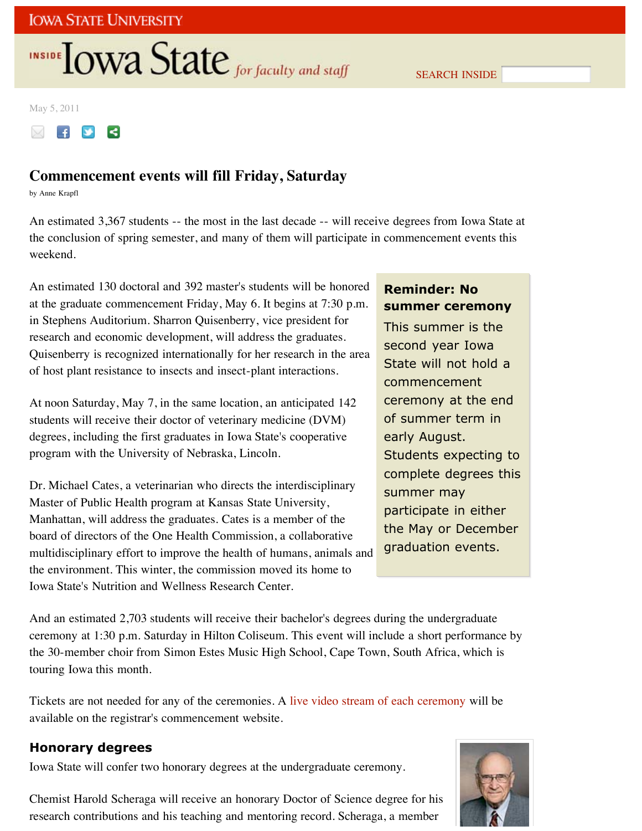# **INSIDE OWA State** for faculty and staff

SEARCH INSIDE

May 5, 2011



## **Commencement events will fill Friday, Saturday**

by Anne Krapfl

An estimated 3,367 students -- the most in the last decade -- will receive degrees from Iowa State at the conclusion of spring semester, and many of them will participate in commencement events this weekend.

An estimated 130 doctoral and 392 master's students will be honored at the graduate commencement Friday, May 6. It begins at 7:30 p.m. in Stephens Auditorium. Sharron Quisenberry, vice president for research and economic development, will address the graduates. Quisenberry is recognized internationally for her research in the area of host plant resistance to insects and insect-plant interactions.

At noon Saturday, May 7, in the same location, an anticipated 142 students will receive their doctor of veterinary medicine (DVM) degrees, including the first graduates in Iowa State's cooperative program with the University of Nebraska, Lincoln.

Dr. Michael Cates, a veterinarian who directs the interdisciplinary Master of Public Health program at Kansas State University, Manhattan, will address the graduates. Cates is a member of the board of directors of the One Health Commission, a collaborative multidisciplinary effort to improve the health of humans, animals and the environment. This winter, the commission moved its home to Iowa State's Nutrition and Wellness Research Center.

### **Reminder: No summer ceremony**

This summer is the second year Iowa State will not hold a commencement ceremony at the end of summer term in early August. Students expecting to complete degrees this summer may participate in either the May or December graduation events.

And an estimated 2,703 students will receive their bachelor's degrees during the undergraduate ceremony at 1:30 p.m. Saturday in Hilton Coliseum. This event will include a short performance by the 30-member choir from Simon Estes Music High School, Cape Town, South Africa, which is touring Iowa this month.

Tickets are not needed for any of the ceremonies. A live video stream of each ceremony will be available on the registrar's commencement website.

## **Honorary degrees**

Iowa State will confer two honorary degrees at the undergraduate ceremony.

Chemist Harold Scheraga will receive an honorary Doctor of Science degree for his research contributions and his teaching and mentoring record. Scheraga, a member

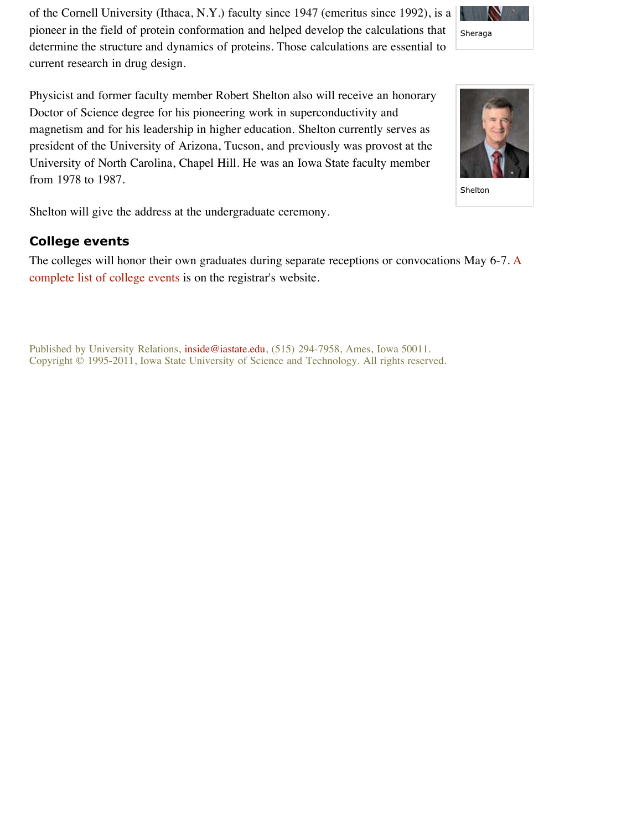of the Cornell University (Ithaca, N.Y.) faculty since 1947 (emeritus since 1992), is a pioneer in the field of protein conformation and helped develop the calculations that determine the structure and dynamics of proteins. Those calculations are essential to current research in drug design.

Physicist and former faculty member Robert Shelton also will receive an honorary Doctor of Science degree for his pioneering work in superconductivity and magnetism and for his leadership in higher education. Shelton currently serves as president of the University of Arizona, Tucson, and previously was provost at the University of North Carolina, Chapel Hill. He was an Iowa State faculty member from 1978 to 1987.

Shelton will give the address at the undergraduate ceremony.

## **College events**

The colleges will honor their own graduates during separate receptions or convocations May 6-7. A complete list of college events is on the registrar's website.



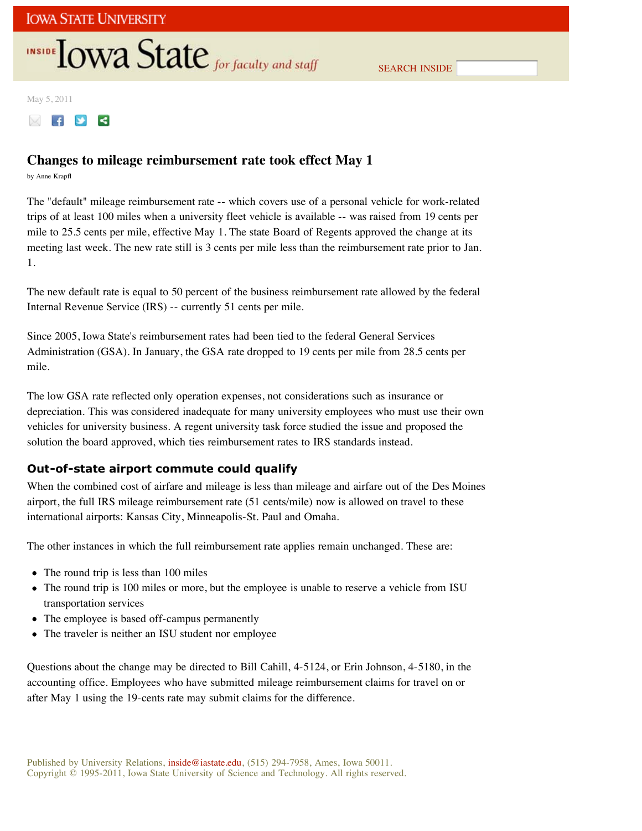## **INSIDE TOWA State** for faculty and staff

SEARCH INSIDE

May 5, 2011



### **Changes to mileage reimbursement rate took effect May 1**

by Anne Krapfl

The "default" mileage reimbursement rate -- which covers use of a personal vehicle for work-related trips of at least 100 miles when a university fleet vehicle is available -- was raised from 19 cents per mile to 25.5 cents per mile, effective May 1. The state Board of Regents approved the change at its meeting last week. The new rate still is 3 cents per mile less than the reimbursement rate prior to Jan. 1.

The new default rate is equal to 50 percent of the business reimbursement rate allowed by the federal Internal Revenue Service (IRS) -- currently 51 cents per mile.

Since 2005, Iowa State's reimbursement rates had been tied to the federal General Services Administration (GSA). In January, the GSA rate dropped to 19 cents per mile from 28.5 cents per mile.

The low GSA rate reflected only operation expenses, not considerations such as insurance or depreciation. This was considered inadequate for many university employees who must use their own vehicles for university business. A regent university task force studied the issue and proposed the solution the board approved, which ties reimbursement rates to IRS standards instead.

#### **Out-of-state airport commute could qualify**

When the combined cost of airfare and mileage is less than mileage and airfare out of the Des Moines airport, the full IRS mileage reimbursement rate (51 cents/mile) now is allowed on travel to these international airports: Kansas City, Minneapolis-St. Paul and Omaha.

The other instances in which the full reimbursement rate applies remain unchanged. These are:

- The round trip is less than 100 miles
- The round trip is 100 miles or more, but the employee is unable to reserve a vehicle from ISU transportation services
- The employee is based off-campus permanently
- The traveler is neither an ISU student nor employee

Questions about the change may be directed to Bill Cahill, 4-5124, or Erin Johnson, 4-5180, in the accounting office. Employees who have submitted mileage reimbursement claims for travel on or after May 1 using the 19-cents rate may submit claims for the difference.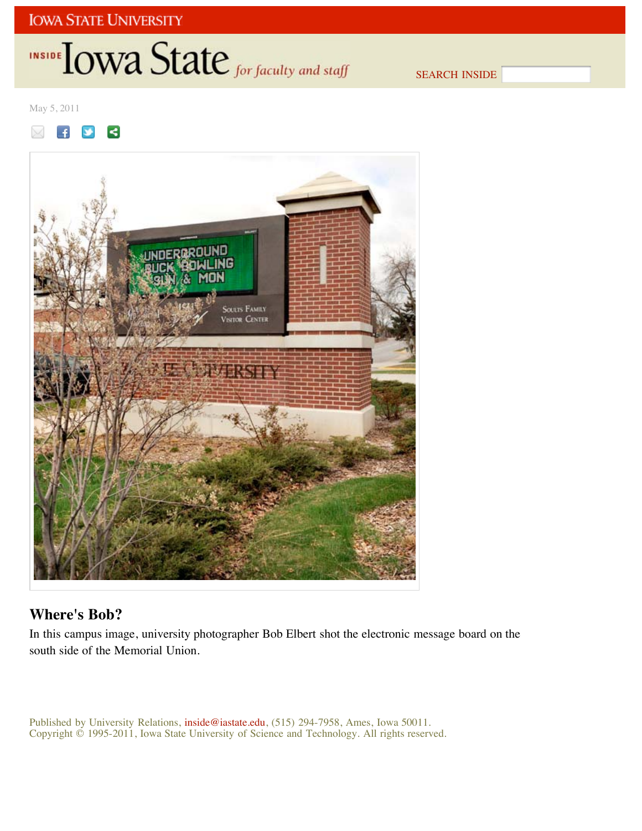## INSIDE **IOWA State** for faculty and staff

SEARCH INSIDE

May 5, 2011





## **Where's Bob?**

In this campus image, university photographer Bob Elbert shot the electronic message board on the south side of the Memorial Union.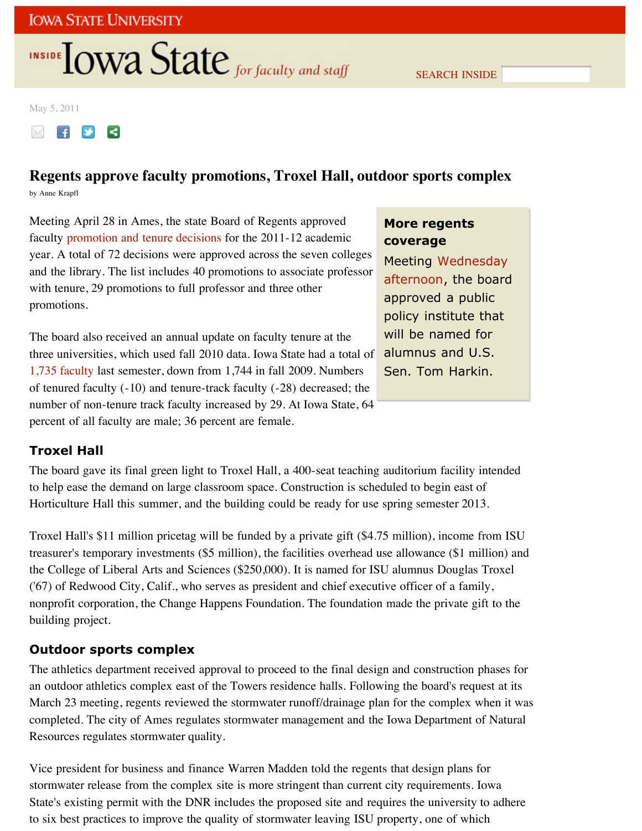# **INSIDE OWA State** for faculty and staff

May 5, 2011



## **Regents approve faculty promotions, Troxel Hall, outdoor sports complex**

by Anne Krapfl

Meeting April 28 in Ames, the state Board of Regents approved faculty promotion and tenure decisions for the 2011-12 academic year. A total of 72 decisions were approved across the seven colleges and the library. The list includes 40 promotions to associate professor with tenure, 29 promotions to full professor and three other promotions.

The board also received an annual update on faculty tenure at the three universities, which used fall 2010 data. Iowa State had a total of 1,735 faculty last semester, down from 1,744 in fall 2009. Numbers of tenured faculty (-10) and tenure-track faculty (-28) decreased; the number of non-tenure track faculty increased by 29. At Iowa State, 64 percent of all faculty are male; 36 percent are female.

## **More regents coverage**

Meeting Wednesday afternoon, the board approved a public policy institute that will be named for alumnus and U.S. Sen. Tom Harkin.

## **Troxel Hall**

The board gave its final green light to Troxel Hall, a 400-seat teaching auditorium facility intended to help ease the demand on large classroom space. Construction is scheduled to begin east of Horticulture Hall this summer, and the building could be ready for use spring semester 2013.

Troxel Hall's \$11 million pricetag will be funded by a private gift (\$4.75 million), income from ISU treasurer's temporary investments (\$5 million), the facilities overhead use allowance (\$1 million) and the College of Liberal Arts and Sciences (\$250,000). It is named for ISU alumnus Douglas Troxel ('67) of Redwood City, Calif., who serves as president and chief executive officer of a family, nonprofit corporation, the Change Happens Foundation. The foundation made the private gift to the building project.

## **Outdoor sports complex**

The athletics department received approval to proceed to the final design and construction phases for an outdoor athletics complex east of the Towers residence halls. Following the board's request at its March 23 meeting, regents reviewed the stormwater runoff/drainage plan for the complex when it was completed. The city of Ames regulates stormwater management and the Iowa Department of Natural Resources regulates stormwater quality.

Vice president for business and finance Warren Madden told the regents that design plans for stormwater release from the complex site is more stringent than current city requirements. Iowa State's existing permit with the DNR includes the proposed site and requires the university to adhere to six best practices to improve the quality of stormwater leaving ISU property, one of which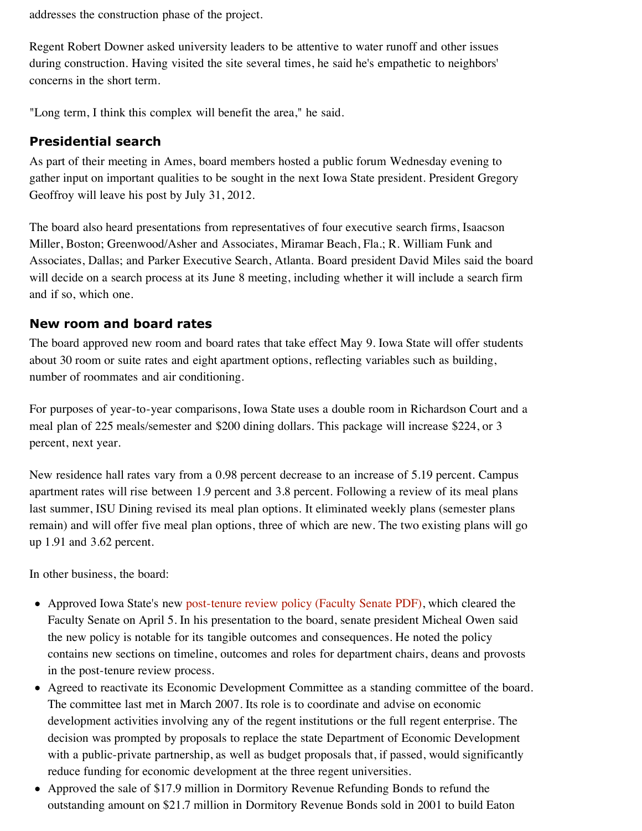addresses the construction phase of the project.

Regent Robert Downer asked university leaders to be attentive to water runoff and other issues during construction. Having visited the site several times, he said he's empathetic to neighbors' concerns in the short term.

"Long term, I think this complex will benefit the area," he said.

### **Presidential search**

As part of their meeting in Ames, board members hosted a public forum Wednesday evening to gather input on important qualities to be sought in the next Iowa State president. President Gregory Geoffroy will leave his post by July 31, 2012.

The board also heard presentations from representatives of four executive search firms, Isaacson Miller, Boston; Greenwood/Asher and Associates, Miramar Beach, Fla.; R. William Funk and Associates, Dallas; and Parker Executive Search, Atlanta. Board president David Miles said the board will decide on a search process at its June 8 meeting, including whether it will include a search firm and if so, which one.

### **New room and board rates**

The board approved new room and board rates that take effect May 9. Iowa State will offer students about 30 room or suite rates and eight apartment options, reflecting variables such as building, number of roommates and air conditioning.

For purposes of year-to-year comparisons, Iowa State uses a double room in Richardson Court and a meal plan of 225 meals/semester and \$200 dining dollars. This package will increase \$224, or 3 percent, next year.

New residence hall rates vary from a 0.98 percent decrease to an increase of 5.19 percent. Campus apartment rates will rise between 1.9 percent and 3.8 percent. Following a review of its meal plans last summer, ISU Dining revised its meal plan options. It eliminated weekly plans (semester plans remain) and will offer five meal plan options, three of which are new. The two existing plans will go up 1.91 and 3.62 percent.

In other business, the board:

- Approved Iowa State's new post-tenure review policy (Faculty Senate PDF), which cleared the Faculty Senate on April 5. In his presentation to the board, senate president Micheal Owen said the new policy is notable for its tangible outcomes and consequences. He noted the policy contains new sections on timeline, outcomes and roles for department chairs, deans and provosts in the post-tenure review process.
- Agreed to reactivate its Economic Development Committee as a standing committee of the board. The committee last met in March 2007. Its role is to coordinate and advise on economic development activities involving any of the regent institutions or the full regent enterprise. The decision was prompted by proposals to replace the state Department of Economic Development with a public-private partnership, as well as budget proposals that, if passed, would significantly reduce funding for economic development at the three regent universities.
- Approved the sale of \$17.9 million in Dormitory Revenue Refunding Bonds to refund the outstanding amount on \$21.7 million in Dormitory Revenue Bonds sold in 2001 to build Eaton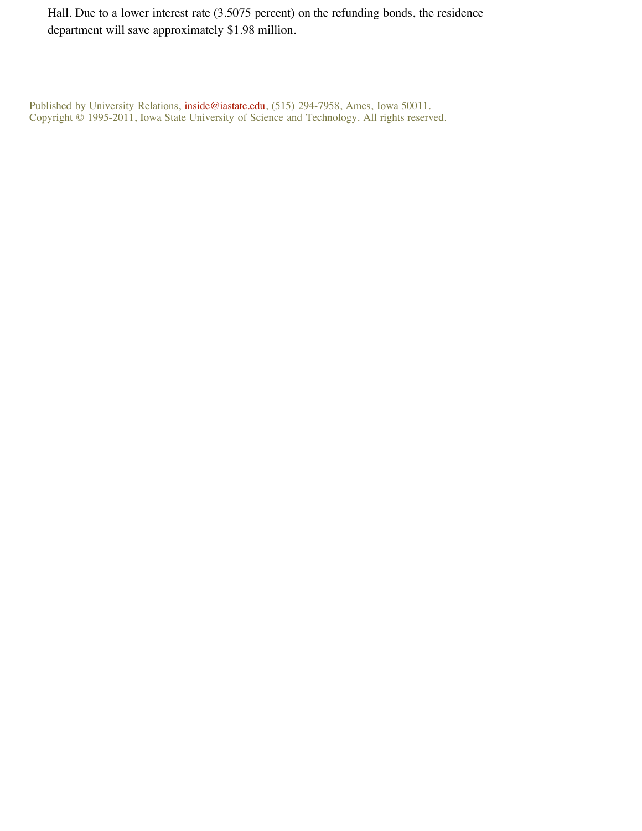Hall. Due to a lower interest rate (3.5075 percent) on the refunding bonds, the residence department will save approximately \$1.98 million.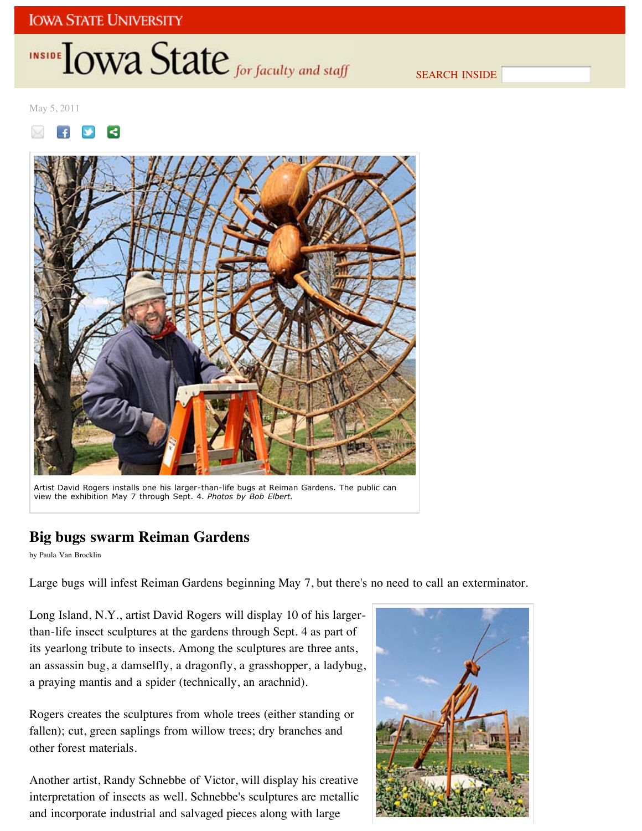# INSIDE **LOWA State** for faculty and staff

SEARCH INSIDE

May 5, 2011

⋜  $\overline{f}$ 



Artist David Rogers installs one his larger-than-life bugs at Reiman Gardens. The public can view the exhibition May 7 through Sept. 4. *Photos by Bob Elbert.*

## **Big bugs swarm Reiman Gardens**

by Paula Van Brocklin

Large bugs will infest Reiman Gardens beginning May 7, but there's no need to call an exterminator.

Long Island, N.Y., artist David Rogers will display 10 of his largerthan-life insect sculptures at the gardens through Sept. 4 as part of its yearlong tribute to insects. Among the sculptures are three ants, an assassin bug, a damselfly, a dragonfly, a grasshopper, a ladybug, a praying mantis and a spider (technically, an arachnid).

Rogers creates the sculptures from whole trees (either standing or fallen); cut, green saplings from willow trees; dry branches and other forest materials.

Another artist, Randy Schnebbe of Victor, will display his creative interpretation of insects as well. Schnebbe's sculptures are metallic and incorporate industrial and salvaged pieces along with large